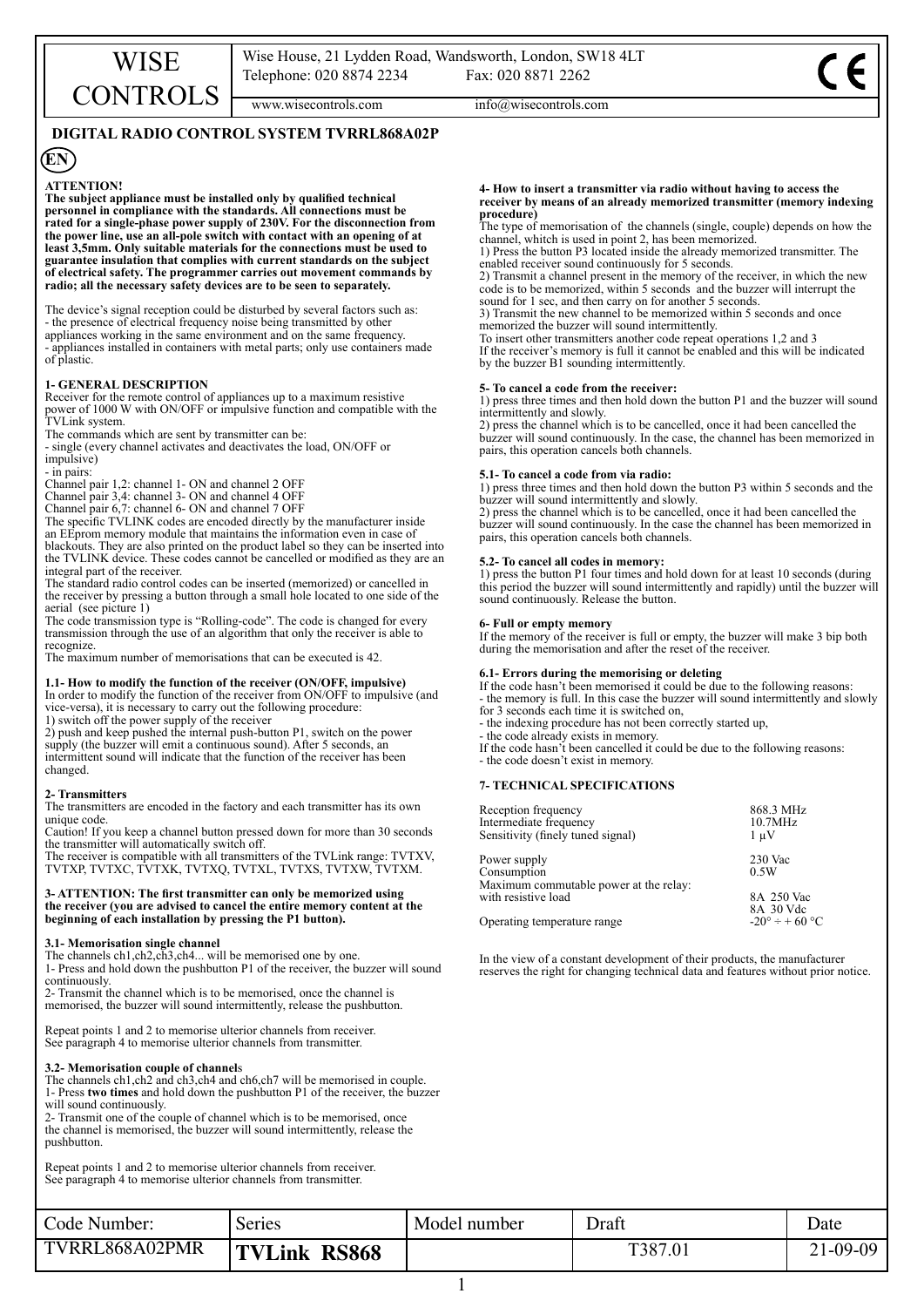www.wisecontrols.com  $info@wisecontrols.com$ 

## **DIGITAL RADIO CONTROL SYSTEM TVRRL868A02P**

# **EN**

**ATTENTION! The subject appliance must be installed only by qualified technical personnel in compliance with the standards. All connections must be rated for a single-phase power supply of 230V. For the disconnection from the power line, use an all-pole switch with contact with an opening of at least 3,5mm. Only suitable materials for the connections must be used to guarantee insulation that complies with current standards on the subject of electrical safety. The programmer carries out movement commands by radio; all the necessary safety devices are to be seen to separately.**

The device's signal reception could be disturbed by several factors such as: - the presence of electrical frequency noise being transmitted by other appliances working in the same environment and on the same frequency. appliances installed in containers with metal parts; only use containers made of plastic.

## **1- GENERAL DESCRIPTION**

Receiver for the remote control of appliances up to a maximum resistive power of 1000 W with ON/OFF or impulsive function and compatible with the TVLink system.

The commands which are sent by transmitter can be:

- single (every channel activates and deactivates the load, ON/OFF or impulsive)

- in pairs:

Channel pair 1,2: channel 1- ON and channel 2 OFF

Channel pair 3,4: channel 3- ON and channel 4 OFF

Channel pair 6,7: channel 6- ON and channel 7 OFF

The specific TVLINK codes are encoded directly by the manufacturer inside an EEprom memory module that maintains the information even in case of blackouts. They are also printed on the product label so they can be inserted into the TVLINK device. These codes cannot be cancelled or modified as they are an integral part of the receiver.

The standard radio control codes can be inserted (memorized) or cancelled in the receiver by pressing a button through a small hole located to one side of the aerial (see picture 1)

The code transmission type is "Rolling-code". The code is changed for every transmission through the use of an algorithm that only the receiver is able to recognize.

The maximum number of memorisations that can be executed is 42.

## **1.1- How to modify the function of the receiver (ON/OFF, impulsive)**

In order to modify the function of the receiver from ON/OFF to impulsive (and vice-versa), it is necessary to carry out the following procedure: 1) switch off the power supply of the receiver

2) push and keep pushed the internal push-button P1, switch on the power supply (the buzzer will emit a continuous sound). After 5 seconds, an intermittent sound will indicate that the function of the receiver has been changed.

## **2- Transmitters**

The transmitters are encoded in the factory and each transmitter has its own unique code.

Caution! If you keep a channel button pressed down for more than 30 seconds the transmitter will automatically switch off.

The receiver is compatible with all transmitters of the TVLink range: TVTXV, TVTXP, TVTXC, TVTXK, TVTXQ, TVTXL, TVTXS, TVTXW, TVTXM.

#### **3- ATTENTION: The first transmitter can only be memorized using the receiver (you are advised to cancel the entire memory content at the beginning of each installation by pressing the P1 button).**

### **3.1- Memorisation single channel**

The channels ch1,ch2,ch3,ch4... will be memorised one by one.

1- Press and hold down the pushbutton P1 of the receiver, the buzzer will sound continuously.

2- Transmit the channel which is to be memorised, once the channel is memorised, the buzzer will sound intermittently, release the pushbutton.

Repeat points 1 and 2 to memorise ulterior channels from receiver. See paragraph 4 to memorise ulterior channels from transmitter.

## **3.2- Memorisation couple of channel**s

The channels ch1,ch2 and ch3,ch4 and ch6,ch7 will be memorised in couple. 1- Press **two times** and hold down the pushbutton P1 of the receiver, the buzzer will sound continuously.

2- Transmit one of the couple of channel which is to be memorised, once the channel is memorised, the buzzer will sound intermittently, release the pushbutton.

Repeat points 1 and 2 to memorise ulterior channels from receiver. See paragraph 4 to memorise ulterior channels from transmitter.

**4- How to insert a transmitter via radio without having to access the receiver by means of an already memorized transmitter (memory indexing procedure)**

The type of memorisation of the channels (single, couple) depends on how the channel, whitch is used in point 2, has been memorized.

1) Press the button P3 located inside the already memorized transmitter. The enabled receiver sound continuously for 5 seconds.

2) Transmit a channel present in the memory of the receiver, in which the new code is to be memorized, within 5 seconds and the buzzer will interrupt the sound for 1 sec, and then carry on for another 5 seconds.

3) Transmit the new channel to be memorized within 5 seconds and once memorized the buzzer will sound intermittently.

To insert other transmitters another code repeat operations 1,2 and 3 If the receiver's memory is full it cannot be enabled and this will be indicated by the buzzer B1 sounding intermittently.

## **5- To cancel a code from the receiver:**

1) press three times and then hold down the button P1 and the buzzer will sound intermittently and slowly.

2) press the channel which is to be cancelled, once it had been cancelled the buzzer will sound continuously. In the case, the channel has been memorized in pairs, this operation cancels both channels.

## **5.1- To cancel a code from via radio:**

1) press three times and then hold down the button P3 within 5 seconds and the buzzer will sound intermittently and slowly.

2) press the channel which is to be cancelled, once it had been cancelled the buzzer will sound continuously. In the case the channel has been memorized in pairs, this operation cancels both channels.

## **5.2- To cancel all codes in memory:**

1) press the button P1 four times and hold down for at least 10 seconds (during this period the buzzer will sound intermittently and rapidly) until the buzzer will sound continuously. Release the button.

## **6- Full or empty memory**

If the memory of the receiver is full or empty, the buzzer will make 3 bip both during the memorisation and after the reset of the receiver.

## **6.1- Errors during the memorising or deleting**

If the code hasn't been memorised if could be due to the following reasons: - the memory is full. In this case the buzzer will sound intermittently and slowly for 3 seconds each time it is switched on,

- the indexing procedure has not been correctly started up,

- the code already exists in memory.

If the code hasn't been cancelled it could be due to the following reasons: - the code doesn't exist in memory.

## **7- TECHNICAL SPECIFICATIONS**

| Reception frequency                                           | 868.3 MHz                                    |  |
|---------------------------------------------------------------|----------------------------------------------|--|
| Intermediate frequency                                        | 10.7MHz                                      |  |
| Sensitivity (finely tuned signal)                             | $1 \mu V$                                    |  |
| Power supply                                                  | 230 Vac                                      |  |
| Consumption                                                   | 0.5W                                         |  |
| Maximum commutable power at the relay:<br>with resistive load | 8A 250 Vac                                   |  |
| Operating temperature range                                   | 8A 30 Vdc<br>$-20^{\circ} \div 60^{\circ}$ C |  |

In the view of a constant development of their products, the manufacturer reserves the right for changing technical data and features without prior notice.

| Code Number:   | Series                        | Model number | Draft | Date           |
|----------------|-------------------------------|--------------|-------|----------------|
| TVRRL868A02PMR | <b>TVLink</b><br><b>RS868</b> |              | T387. | $21 - 09 - 09$ |